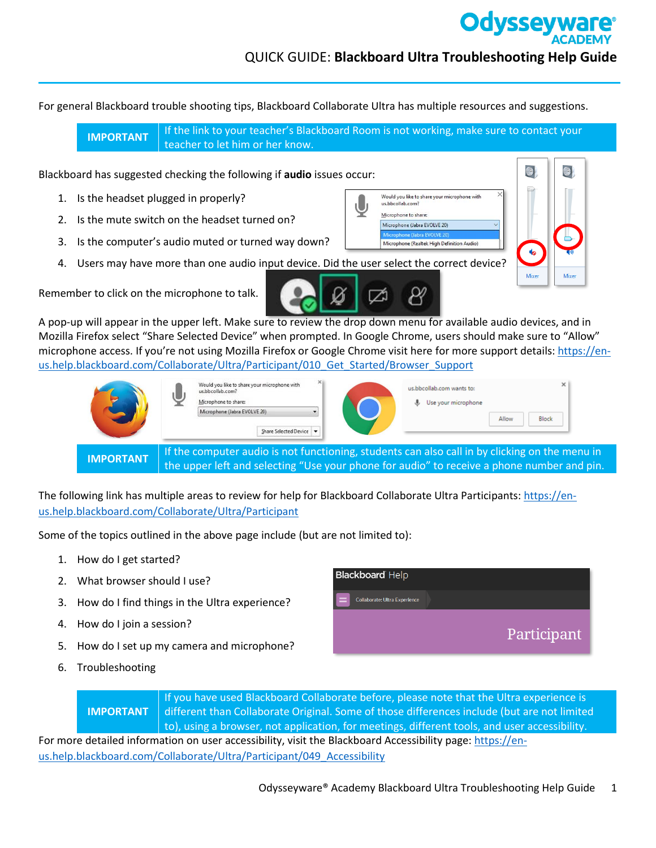## QUICK GUIDE: **Blackboard Ultra Troubleshooting Help Guide**

Would you like to share your microphone with

Microphone (Realtek High Definition Audio)

us.bbcollab.com dicrophone to share Microphone (Jabra EVOLVE 20) **Odyssey** 

For general Blackboard trouble shooting tips, Blackboard Collaborate Ultra has multiple resources and suggestions.

**IMPORTANT** If the link to your teacher's Blackboard Room is not working, make sure to contact your teacher to let him or her know.

Blackboard has suggested checking the following if **audio** issues occur:

- 1. Is the headset plugged in properly?
- 2. Is the mute switch on the headset turned on?
- 3. Is the computer's audio muted or turned way down?
- 4. Users may have more than one audio input device. Did the user select the correct device?



Remember to click on the microphone to talk.

A pop-up will appear in the upper left. Make sure to review the drop down menu for available audio devices, and in Mozilla Firefox select "Share Selected Device" when prompted. In Google Chrome, users should make sure to "Allow" microphone access. If you're not using Mozilla Firefox or Google Chrome visit here for more support details[: https://en](https://en-us.help.blackboard.com/Collaborate/Ultra/Participant/010_Get_Started/Browser_Support)[us.help.blackboard.com/Collaborate/Ultra/Participant/010\\_Get\\_Started/Browser\\_Support](https://en-us.help.blackboard.com/Collaborate/Ultra/Participant/010_Get_Started/Browser_Support)

|                  | Would you like to share your microphone with<br>us.bbcollab.com?<br>Microphone to share:<br>Microphone (Jabra EVOLVE 20)<br>Share Selected Device | us.bbcollab.com wants to:<br>Use your microphone<br>Block<br>Allow                                                                                                                           |  |
|------------------|---------------------------------------------------------------------------------------------------------------------------------------------------|----------------------------------------------------------------------------------------------------------------------------------------------------------------------------------------------|--|
| <b>IMPORTANT</b> |                                                                                                                                                   | If the computer audio is not functioning, students can also call in by clicking on the menu in<br>the upper left and selecting "Use your phone for audio" to receive a phone number and pin. |  |

The following link has multiple areas to review for help for Blackboard Collaborate Ultra Participants: [https://en](https://en-us.help.blackboard.com/Collaborate/Ultra/Participant)[us.help.blackboard.com/Collaborate/Ultra/Participant](https://en-us.help.blackboard.com/Collaborate/Ultra/Participant)

Some of the topics outlined in the above page include (but are not limited to):

- 1. How do I get started?
- 2. What browser should I use?
- 3. How do I find things in the Ultra experience?
- 4. How do I join a session?
- 5. How do I set up my camera and microphone?
- 6. Troubleshooting



**IMPORTANT** If you have used Blackboard Collaborate before, please note that the Ultra experience is different than Collaborate Original. Some of those differences include (but are not limited to), using a browser, not application, for meetings, different tools, and user accessibility.

For more detailed information on user accessibility, visit the Blackboard Accessibility page[: https://en](https://en-us.help.blackboard.com/Collaborate/Ultra/Participant/049_Accessibility)[us.help.blackboard.com/Collaborate/Ultra/Participant/049\\_Accessibility](https://en-us.help.blackboard.com/Collaborate/Ultra/Participant/049_Accessibility)